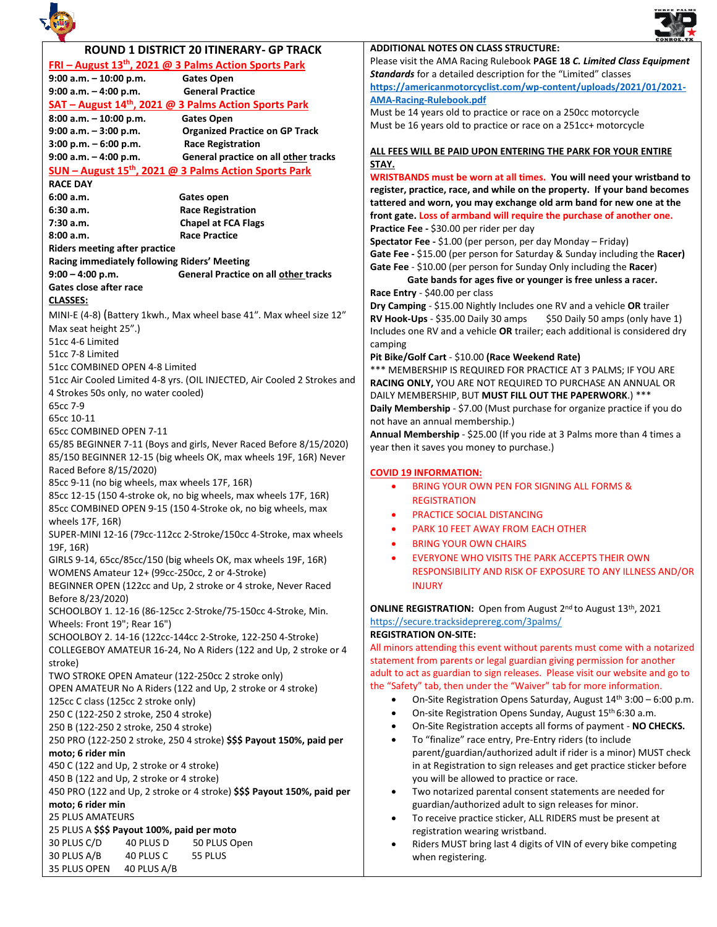



| ROUND 1 DISTRICT 20 ITINERARY- GP TRACK                                  |                                                                     | <b>ADDITIONAL NOTES ON CLASS STRUCTURE:</b>                                                |
|--------------------------------------------------------------------------|---------------------------------------------------------------------|--------------------------------------------------------------------------------------------|
| FRI - August 13 <sup>th</sup> , 2021 @ 3 Palms Action Sports Park        |                                                                     | Please visit the AMA Racing Rulebook PAGE 18 C. Limited Class Equipment                    |
| 9:00 a.m. - 10:00 p.m.                                                   | <b>Gates Open</b>                                                   | Standards for a detailed description for the "Limited" classes                             |
| $9:00$ a.m. $-4:00$ p.m.                                                 | <b>General Practice</b>                                             | https://americanmotorcyclist.com/wp-content/uploads/2021/01/2021-                          |
|                                                                          | SAT - August 14 <sup>th</sup> , 2021 @ 3 Palms Action Sports Park   | <b>AMA-Racing-Rulebook.pdf</b>                                                             |
| 8:00 a.m. - 10:00 p.m.                                                   | <b>Gates Open</b>                                                   | Must be 14 years old to practice or race on a 250cc motorcycle                             |
| $9:00$ a.m. $-3:00$ p.m.                                                 | <b>Organized Practice on GP Track</b>                               | Must be 16 years old to practice or race on a 251cc+ motorcycle                            |
| $3:00$ p.m. $-6:00$ p.m.                                                 | <b>Race Registration</b>                                            |                                                                                            |
| 9:00 a.m. - 4:00 p.m.                                                    | General practice on all other tracks                                | ALL FEES WILL BE PAID UPON ENTERING THE PARK FOR YOUR ENTIRE                               |
|                                                                          | SUN - August 15 <sup>th</sup> , 2021 @ 3 Palms Action Sports Park   | STAY.                                                                                      |
|                                                                          |                                                                     | WRISTBANDS must be worn at all times. You will need your wristband to                      |
| <b>RACE DAY</b>                                                          |                                                                     | register, practice, race, and while on the property. If your band becomes                  |
| 6:00 a.m.<br>6:30 a.m.                                                   | Gates open                                                          | tattered and worn, you may exchange old arm band for new one at the                        |
|                                                                          | <b>Race Registration</b>                                            | front gate. Loss of armband will require the purchase of another one.                      |
| 7:30 a.m.                                                                | <b>Chapel at FCA Flags</b><br><b>Race Practice</b>                  | Practice Fee - \$30.00 per rider per day                                                   |
| 8:00 a.m.                                                                |                                                                     | Spectator Fee - \$1.00 (per person, per day Monday - Friday)                               |
| <b>Riders meeting after practice</b>                                     |                                                                     | Gate Fee - \$15.00 (per person for Saturday & Sunday including the Racer)                  |
| Racing immediately following Riders' Meeting                             |                                                                     | Gate Fee - \$10.00 (per person for Sunday Only including the Racer)                        |
| $9:00 - 4:00 p.m.$                                                       | General Practice on all other tracks                                | Gate bands for ages five or younger is free unless a racer.                                |
| Gates close after race                                                   |                                                                     | Race Entry - \$40.00 per class                                                             |
| <b>CLASSES:</b>                                                          |                                                                     | Dry Camping - \$15.00 Nightly Includes one RV and a vehicle OR trailer                     |
|                                                                          | MINI-E (4-8) (Battery 1kwh., Max wheel base 41". Max wheel size 12" | RV Hook-Ups - \$35.00 Daily 30 amps<br>\$50 Daily 50 amps (only have 1)                    |
| Max seat height 25".)                                                    |                                                                     | Includes one RV and a vehicle OR trailer; each additional is considered dry                |
| 51cc 4-6 Limited                                                         |                                                                     | camping                                                                                    |
| 51cc 7-8 Limited                                                         |                                                                     | Pit Bike/Golf Cart - \$10.00 (Race Weekend Rate)                                           |
| 51cc COMBINED OPEN 4-8 Limited                                           |                                                                     | *** MEMBERSHIP IS REQUIRED FOR PRACTICE AT 3 PALMS; IF YOU ARE                             |
| 51cc Air Cooled Limited 4-8 yrs. (OIL INJECTED, Air Cooled 2 Strokes and |                                                                     | RACING ONLY, YOU ARE NOT REQUIRED TO PURCHASE AN ANNUAL OR                                 |
| 4 Strokes 50s only, no water cooled)                                     |                                                                     | DAILY MEMBERSHIP, BUT MUST FILL OUT THE PAPERWORK.) ***                                    |
| 65cc 7-9                                                                 |                                                                     | Daily Membership - \$7.00 (Must purchase for organize practice if you do                   |
| 65cc 10-11                                                               |                                                                     | not have an annual membership.)                                                            |
| 65cc COMBINED OPEN 7-11                                                  |                                                                     | Annual Membership - \$25.00 (If you ride at 3 Palms more than 4 times a                    |
|                                                                          | 65/85 BEGINNER 7-11 (Boys and girls, Never Raced Before 8/15/2020)  | year then it saves you money to purchase.)                                                 |
|                                                                          | 85/150 BEGINNER 12-15 (big wheels OK, max wheels 19F, 16R) Never    |                                                                                            |
| Raced Before 8/15/2020)                                                  |                                                                     | <b>COVID 19 INFORMATION:</b>                                                               |
| 85cc 9-11 (no big wheels, max wheels 17F, 16R)                           |                                                                     | BRING YOUR OWN PEN FOR SIGNING ALL FORMS &                                                 |
| 85cc 12-15 (150 4-stroke ok, no big wheels, max wheels 17F, 16R)         |                                                                     | <b>REGISTRATION</b>                                                                        |
| 85cc COMBINED OPEN 9-15 (150 4-Stroke ok, no big wheels, max             |                                                                     | PRACTICE SOCIAL DISTANCING<br>٠                                                            |
| wheels 17F, 16R)                                                         |                                                                     | <b>PARK 10 FEET AWAY FROM EACH OTHER</b>                                                   |
| SUPER-MINI 12-16 (79cc-112cc 2-Stroke/150cc 4-Stroke, max wheels         |                                                                     | ٠                                                                                          |
| 19F, 16R)                                                                |                                                                     | <b>BRING YOUR OWN CHAIRS</b>                                                               |
| GIRLS 9-14, 65cc/85cc/150 (big wheels OK, max wheels 19F, 16R)           |                                                                     | EVERYONE WHO VISITS THE PARK ACCEPTS THEIR OWN<br>$\bullet$                                |
|                                                                          | WOMENS Amateur 12+ (99cc-250cc, 2 or 4-Stroke)                      | RESPONSIBILITY AND RISK OF EXPOSURE TO ANY ILLNESS AND/OR                                  |
| BEGINNER OPEN (122cc and Up, 2 stroke or 4 stroke, Never Raced           |                                                                     | <b>INJURY</b>                                                                              |
| Before 8/23/2020)                                                        |                                                                     |                                                                                            |
|                                                                          | SCHOOLBOY 1. 12-16 (86-125cc 2-Stroke/75-150cc 4-Stroke, Min.       | ONLINE REGISTRATION: Open from August 2nd to August 13th, 2021                             |
| Wheels: Front 19"; Rear 16")                                             |                                                                     | https://secure.tracksideprereg.com/3palms/                                                 |
| SCHOOLBOY 2. 14-16 (122cc-144cc 2-Stroke, 122-250 4-Stroke)              |                                                                     | <b>REGISTRATION ON-SITE:</b>                                                               |
| COLLEGEBOY AMATEUR 16-24, No A Riders (122 and Up, 2 stroke or 4         |                                                                     | All minors attending this event without parents must come with a notarized                 |
| stroke)                                                                  |                                                                     | statement from parents or legal guardian giving permission for another                     |
| TWO STROKE OPEN Amateur (122-250cc 2 stroke only)                        |                                                                     | adult to act as guardian to sign releases. Please visit our website and go to              |
| OPEN AMATEUR No A Riders (122 and Up, 2 stroke or 4 stroke)              |                                                                     | the "Safety" tab, then under the "Waiver" tab for more information.                        |
| 125cc C class (125cc 2 stroke only)                                      |                                                                     | On-Site Registration Opens Saturday, August 14 <sup>th</sup> 3:00 - 6:00 p.m.<br>$\bullet$ |
| 250 C (122-250 2 stroke, 250 4 stroke)                                   |                                                                     | On-site Registration Opens Sunday, August 15th 6:30 a.m.<br>$\bullet$                      |
| 250 B (122-250 2 stroke, 250 4 stroke)                                   |                                                                     | On-Site Registration accepts all forms of payment - NO CHECKS.<br>$\bullet$                |
| 250 PRO (122-250 2 stroke, 250 4 stroke) \$\$\$ Payout 150%, paid per    |                                                                     | To "finalize" race entry, Pre-Entry riders (to include<br>$\bullet$                        |
| moto; 6 rider min                                                        |                                                                     | parent/guardian/authorized adult if rider is a minor) MUST check                           |
| 450 C (122 and Up, 2 stroke or 4 stroke)                                 |                                                                     | in at Registration to sign releases and get practice sticker before                        |
| 450 B (122 and Up, 2 stroke or 4 stroke)                                 |                                                                     | you will be allowed to practice or race.                                                   |
| 450 PRO (122 and Up, 2 stroke or 4 stroke) \$\$\$ Payout 150%, paid per  |                                                                     | Two notarized parental consent statements are needed for<br>$\bullet$                      |
| moto; 6 rider min                                                        |                                                                     | guardian/authorized adult to sign releases for minor.                                      |
| <b>25 PLUS AMATEURS</b>                                                  |                                                                     | To receive practice sticker, ALL RIDERS must be present at<br>$\bullet$                    |
| 25 PLUS A \$\$\$ Payout 100%, paid per moto                              |                                                                     | registration wearing wristband.                                                            |
| 30 PLUS C/D<br>40 PLUS D<br>50 PLUS Open                                 |                                                                     |                                                                                            |
| 30 PLUS A/B<br>40 PLUS C<br>55 PLUS                                      |                                                                     | Riders MUST bring last 4 digits of VIN of every bike competing                             |
| 35 PLUS OPEN<br>40 PLUS A/B                                              |                                                                     | when registering.                                                                          |
|                                                                          |                                                                     |                                                                                            |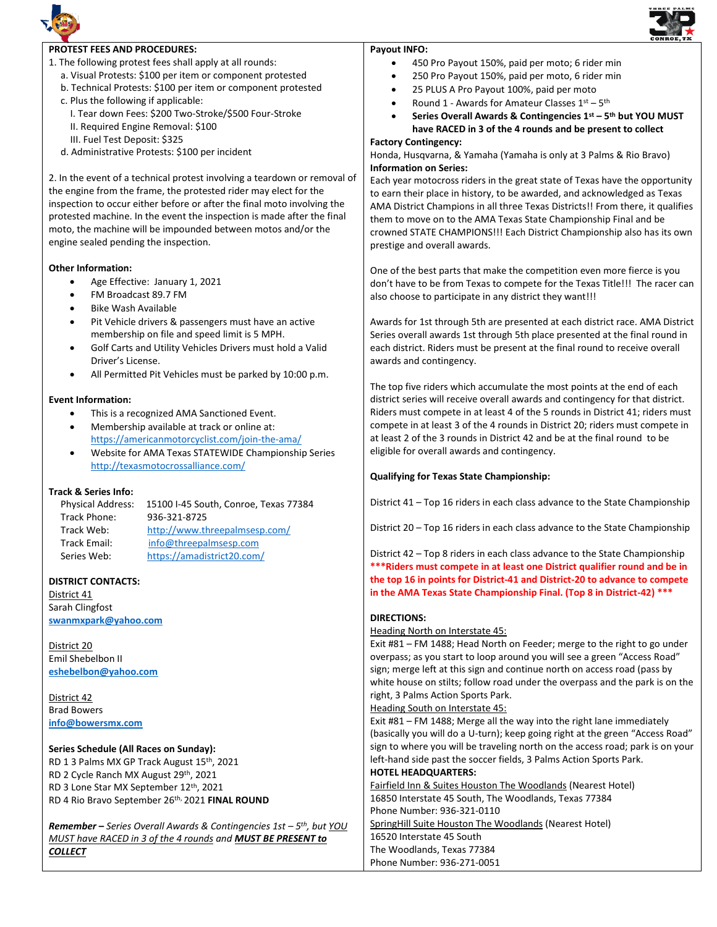



# **PROTEST FEES AND PROCEDURES:**

- 1. The following protest fees shall apply at all rounds:
	- a. Visual Protests: \$100 per item or component protested
	- b. Technical Protests: \$100 per item or component protested
	- c. Plus the following if applicable:
		- I. Tear down Fees: \$200 Two-Stroke/\$500 Four-Stroke
		- II. Required Engine Removal: \$100
		- III. Fuel Test Deposit: \$325

d. Administrative Protests: \$100 per incident

2. In the event of a technical protest involving a teardown or removal of the engine from the frame, the protested rider may elect for the inspection to occur either before or after the final moto involving the protested machine. In the event the inspection is made after the final moto, the machine will be impounded between motos and/or the engine sealed pending the inspection.

#### **Other Information:**

- Age Effective: January 1, 2021
- FM Broadcast 89.7 FM
- Bike Wash Available
- Pit Vehicle drivers & passengers must have an active membership on file and speed limit is 5 MPH.
- Golf Carts and Utility Vehicles Drivers must hold a Valid Driver's License.
- All Permitted Pit Vehicles must be parked by 10:00 p.m.

## **Event Information:**

- This is a recognized AMA Sanctioned Event.
- Membership available at track or online at: <https://americanmotorcyclist.com/join-the-ama/>
- Website for AMA Texas STATEWIDE Championship Series <http://texasmotocrossalliance.com/>

#### **Track & Series Info:**

| <b>Physical Address:</b> | 15100 I-45 South, Conroe, Texas 77384 |
|--------------------------|---------------------------------------|
| Track Phone:             | 936-321-8725                          |
| Track Web:               | http://www.threepalmsesp.com/         |
| <b>Track Email:</b>      | info@threepalmsesp.com                |
| Series Web:              | https://amadistrict20.com/            |

# **DISTRICT CONTACTS:**

District 41 Sarah Clingfost **[swanmxpark@yahoo.com](file:///C:/Users/Three%20Palms/Documents/swanmxpark@yahoo.com)**

District 20 Emil Shebelbon II **[eshebelbon@yahoo.com](mailto:eshebelbon@yahoo.com)**

District 42 Brad Bowers **<info@bowersmx.com>**

### **Series Schedule (All Races on Sunday):**

RD 1 3 Palms MX GP Track August 15th, 2021 RD 2 Cycle Ranch MX August 29th, 2021 RD 3 Lone Star MX September 12th, 2021 RD 4 Rio Bravo September 26th, 2021 **FINAL ROUND**

*Remember* **–** *Series Overall Awards & Contingencies 1st – 5 th , but YOU MUST have RACED in 3 of the 4 rounds and MUST BE PRESENT to COLLECT*

#### **Payout INFO:**

- 450 Pro Payout 150%, paid per moto; 6 rider min
- 250 Pro Payout 150%, paid per moto, 6 rider min
- 25 PLUS A Pro Payout 100%, paid per moto
- Round 1 Awards for Amateur Classes  $1^{st} 5^{th}$
- **Series Overall Awards & Contingencies 1st – 5 th but YOU MUST have RACED in 3 of the 4 rounds and be present to collect**

# **Factory Contingency:**

Honda, Husqvarna, & Yamaha (Yamaha is only at 3 Palms & Rio Bravo) **Information on Series:**

Each year motocross riders in the great state of Texas have the opportunity to earn their place in history, to be awarded, and acknowledged as Texas AMA District Champions in all three Texas Districts!! From there, it qualifies them to move on to the AMA Texas State Championship Final and be crowned STATE CHAMPIONS!!! Each District Championship also has its own prestige and overall awards.

One of the best parts that make the competition even more fierce is you don't have to be from Texas to compete for the Texas Title!!! The racer can also choose to participate in any district they want!!!

Awards for 1st through 5th are presented at each district race. AMA District Series overall awards 1st through 5th place presented at the final round in each district. Riders must be present at the final round to receive overall awards and contingency.

The top five riders which accumulate the most points at the end of each district series will receive overall awards and contingency for that district. Riders must compete in at least 4 of the 5 rounds in District 41; riders must compete in at least 3 of the 4 rounds in District 20; riders must compete in at least 2 of the 3 rounds in District 42 and be at the final round to be eligible for overall awards and contingency.

#### **Qualifying for Texas State Championship:**

District 41 – Top 16 riders in each class advance to the State Championship

District 20 – Top 16 riders in each class advance to the State Championship

District 42 – Top 8 riders in each class advance to the State Championship **\*\*\*Riders must compete in at least one District qualifier round and be in the top 16 in points for District-41 and District-20 to advance to compete in the AMA Texas State Championship Final. (Top 8 in District-42) \*\*\***

#### **DIRECTIONS:**

Heading North on Interstate 45:

Exit #81 – FM 1488; Head North on Feeder; merge to the right to go under overpass; as you start to loop around you will see a green "Access Road" sign; merge left at this sign and continue north on access road (pass by white house on stilts; follow road under the overpass and the park is on the right, 3 Palms Action Sports Park.

Heading South on Interstate 45:

Exit #81 – FM 1488; Merge all the way into the right lane immediately (basically you will do a U-turn); keep going right at the green "Access Road" sign to where you will be traveling north on the access road; park is on your left-hand side past the soccer fields, 3 Palms Action Sports Park. **HOTEL HEADQUARTERS:**

Fairfield Inn & Suites Houston The Woodlands (Nearest Hotel) 16850 Interstate 45 South, The Woodlands, Texas 77384 Phone Number: 936-321-0110 SpringHill Suite Houston The Woodlands (Nearest Hotel) 16520 Interstate 45 South The Woodlands, Texas 77384 Phone Number: 936-271-0051